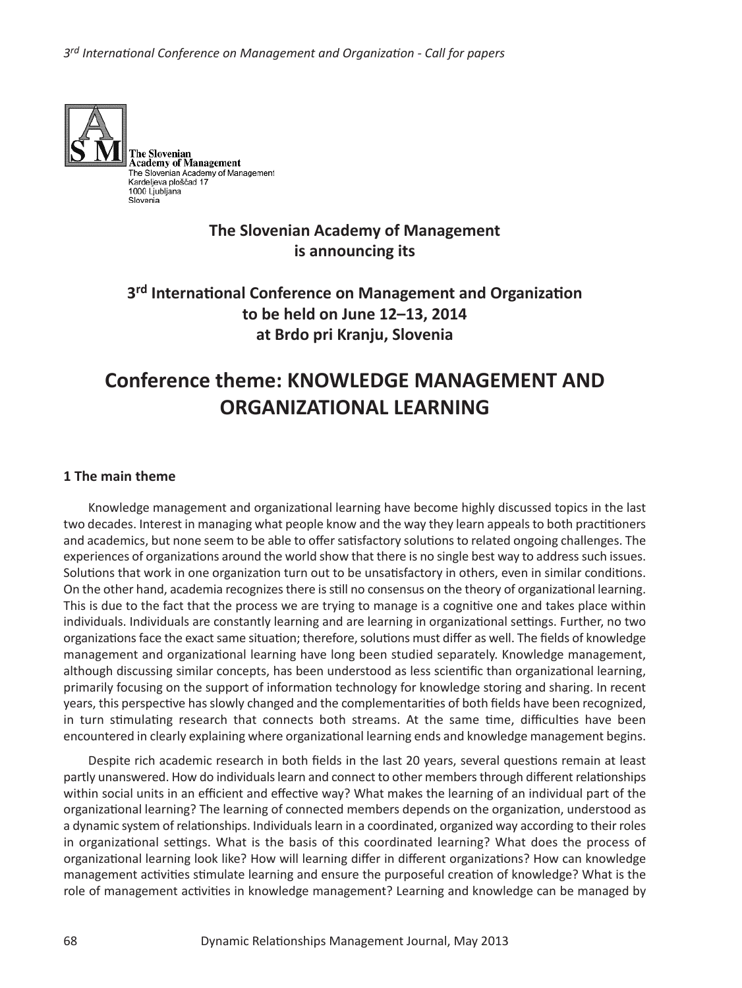

## **The Slovenian Academy of Management is announcing its**

# **3rd International Conference on Management and Organization to be held on June 12–13, 2014 at Brdo pri Kranju, Slovenia**

# **Conference theme: KNOWLEDGE MANAGEMENT AND ORGANIZATIONAL LEARNING**

## **1 The main theme**

Knowledge management and organizational learning have become highly discussed topics in the last two decades. Interest in managing what people know and the way they learn appeals to both practitioners and academics, but none seem to be able to offer satisfactory solutions to related ongoing challenges. The experiences of organizations around the world show that there is no single best way to address such issues. Solutions that work in one organization turn out to be unsatisfactory in others, even in similar conditions. On the other hand, academia recognizes there is still no consensus on the theory of organizational learning. This is due to the fact that the process we are trying to manage is a cognitive one and takes place within individuals. Individuals are constantly learning and are learning in organizational settings. Further, no two organizations face the exact same situation; therefore, solutions must differ as well. The fields of knowledge management and organizational learning have long been studied separately. Knowledge management, although discussing similar concepts, has been understood as less scientific than organizational learning, primarily focusing on the support of information technology for knowledge storing and sharing. In recent years, this perspective hasslowly changed and the complementarities of both fields have been recognized, in turn stimulating research that connects both streams. At the same time, difficulties have been encountered in clearly explaining where organizational learning ends and knowledge management begins.

Despite rich academic research in both fields in the last 20 years, several questions remain at least partly unanswered. How do individuals learn and connect to other members through different relationships within social units in an efficient and effective way? What makes the learning of an individual part of the organizational learning? The learning of connected members depends on the organization, understood as a dynamic system of relationships. Individuals learn in a coordinated, organized way according to their roles in organizational settings. What is the basis of this coordinated learning? What does the process of organizational learning look like? How will learning differ in different organizations? How can knowledge management activities stimulate learning and ensure the purposeful creation of knowledge? What is the role of management activities in knowledge management? Learning and knowledge can be managed by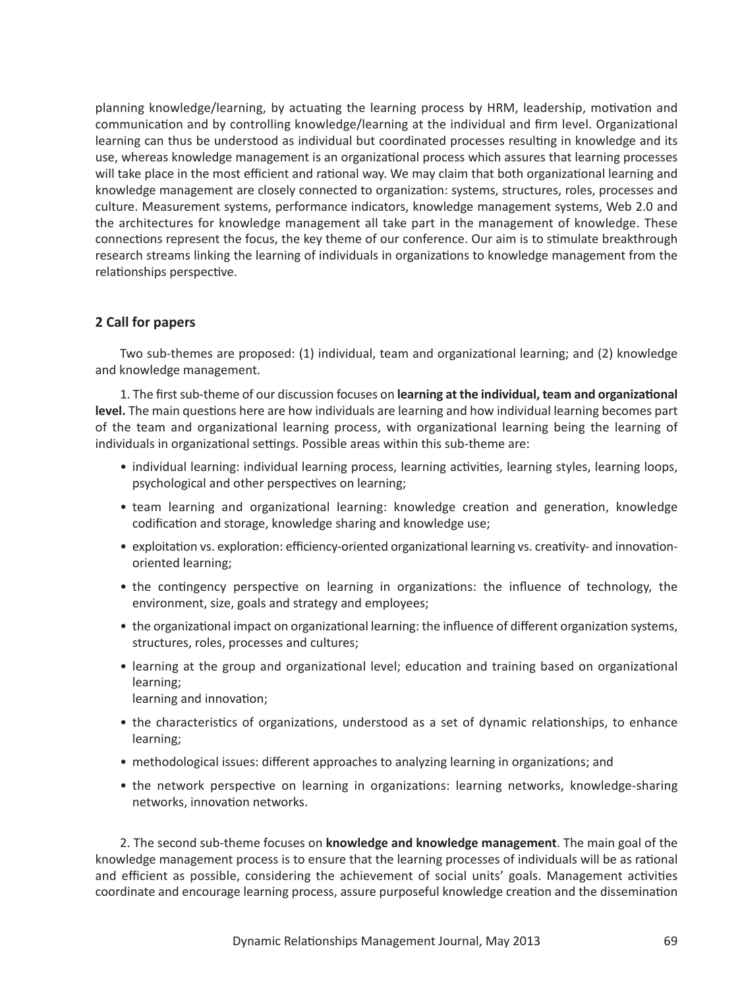planning knowledge/learning, by actuating the learning process by HRM, leadership, motivation and communication and by controlling knowledge/learning at the individual and firm level. Organizational learning can thus be understood as individual but coordinated processes resulting in knowledge and its use, whereas knowledge management is an organizational process which assures that learning processes will take place in the most efficient and rational way. We may claim that both organizational learning and knowledge management are closely connected to organization: systems, structures, roles, processes and culture. Measurement systems, performance indicators, knowledge management systems, Web 2.0 and the architectures for knowledge management all take part in the management of knowledge. These connections represent the focus, the key theme of our conference. Our aim is to stimulate breakthrough research streams linking the learning of individuals in organizations to knowledge management from the relationships perspective.

### **2 Call for papers**

Two sub-themes are proposed: (1) individual, team and organizational learning; and (2) knowledge and knowledge management.

1. The firstsub-theme of our discussion focuses on **learning at the individual, team and organizational level.** The main questions here are how individuals are learning and how individual learning becomes part of the team and organizational learning process, with organizational learning being the learning of individuals in organizational settings. Possible areas within this sub-theme are:

- individual learning: individual learning process, learning activities, learning styles, learning loops, psychological and other perspectives on learning;
- team learning and organizational learning: knowledge creation and generation, knowledge codification and storage, knowledge sharing and knowledge use;
- exploitation vs. exploration: efficiency-oriented organizational learning vs. creativity- and innovationoriented learning;
- the contingency perspective on learning in organizations: the influence of technology, the environment, size, goals and strategy and employees;
- the organizational impact on organizational learning: the influence of different organization systems, structures, roles, processes and cultures;
- learning at the group and organizational level; education and training based on organizational learning;
	- learning and innovation;
- the characteristics of organizations, understood as a set of dynamic relationships, to enhance learning;
- methodological issues: different approaches to analyzing learning in organizations; and
- the network perspective on learning in organizations: learning networks, knowledge-sharing networks, innovation networks.

2. The second sub-theme focuses on **knowledge and knowledge management**. The main goal of the knowledge management process is to ensure that the learning processes of individuals will be as rational and efficient as possible, considering the achievement of social units' goals. Management activities coordinate and encourage learning process, assure purposeful knowledge creation and the dissemination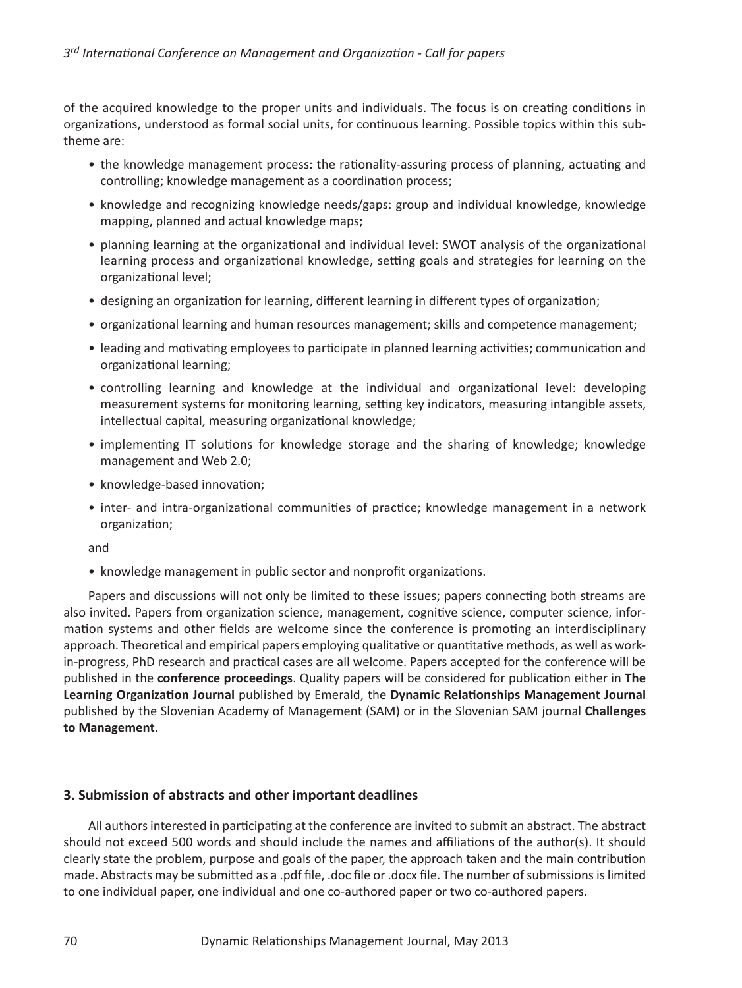of the acquired knowledge to the proper units and individuals. The focus is on creating conditions in organizations, understood as formal social units, for continuous learning. Possible topics within this subtheme are:

- the knowledge management process: the rationality-assuring process of planning, actuating and controlling; knowledge management as a coordination process;
- knowledge and recognizing knowledge needs/gaps: group and individual knowledge, knowledge mapping, planned and actual knowledge maps;
- planning learning at the organizational and individual level: SWOT analysis of the organizational learning process and organizational knowledge, setting goals and strategies for learning on the organizational level;
- designing an organization for learning, different learning in different types of organization;
- organizational learning and human resources management; skills and competence management;
- leading and motivating employees to participate in planned learning activities; communication and organizational learning;
- controlling learning and knowledge at the individual and organizational level: developing measurement systems for monitoring learning, setting key indicators, measuring intangible assets, intellectual capital, measuring organizational knowledge;
- implementing IT solutions for knowledge storage and the sharing of knowledge; knowledge management and Web 2.0;
- knowledge-based innovation;
- inter- and intra-organizational communities of practice; knowledge management in a network organization;

and

• knowledge management in public sector and nonprofit organizations.

Papers and discussions will not only be limited to these issues; papers connecting both streams are also invited. Papers from organization science, management, cognitive science, computer science, information systems and other fields are welcome since the conference is promoting an interdisciplinary approach. Theoretical and empirical papers employing qualitative or quantitative methods, as well as workin-progress, PhD research and practical cases are all welcome. Papers accepted for the conference will be published in the **conference proceedings**. Quality papers will be considered for publication either in **The Learning Organization Journal** published by Emerald, the **Dynamic Relationships Management Journal** published by the Slovenian Academy of Management (SAM) or in the Slovenian SAM journal **Challenges to Management**.

#### **3. Submission of abstracts and other important deadlines**

All authorsinterested in participating at the conference are invited to submit an abstract. The abstract should not exceed 500 words and should include the names and affiliations of the author(s). It should clearly state the problem, purpose and goals of the paper, the approach taken and the main contribution made. Abstracts may be submitted as a .pdf file, .doc file or .docx file. The number ofsubmissionsislimited to one individual paper, one individual and one co-authored paper or two co-authored papers.